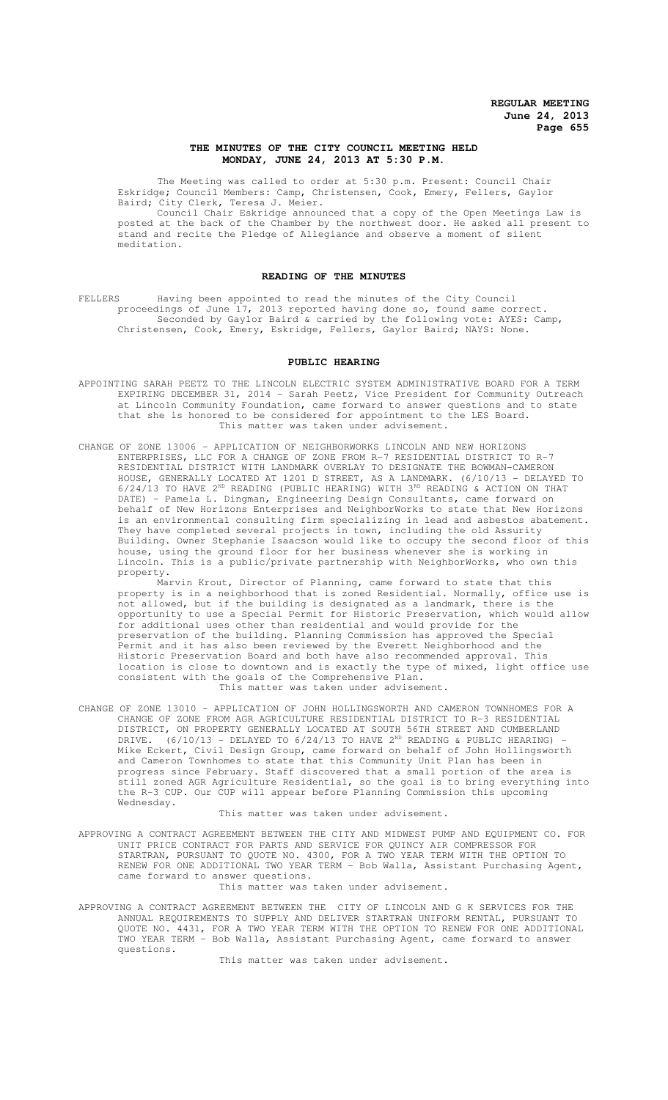# **THE MINUTES OF THE CITY COUNCIL MEETING HELD MONDAY, JUNE 24, 2013 AT 5:30 P.M.**

The Meeting was called to order at 5:30 p.m. Present: Council Chair Eskridge; Council Members: Camp, Christensen, Cook, Emery, Fellers, Gaylor Baird; City Clerk, Teresa J. Meier.

Council Chair Eskridge announced that a copy of the Open Meetings Law is posted at the back of the Chamber by the northwest door. He asked all present to stand and recite the Pledge of Allegiance and observe a moment of silent meditation.

# **READING OF THE MINUTES**

FELLERS Having been appointed to read the minutes of the City Council proceedings of June 17, 2013 reported having done so, found same correct. Seconded by Gaylor Baird & carried by the following vote: AYES: Camp, Christensen, Cook, Emery, Eskridge, Fellers, Gaylor Baird; NAYS: None.

#### **PUBLIC HEARING**

- APPOINTING SARAH PEETZ TO THE LINCOLN ELECTRIC SYSTEM ADMINISTRATIVE BOARD FOR A TERM EXPIRING DECEMBER 31, 2014 - Sarah Peetz, Vice President for Community Outreach at Lincoln Community Foundation, came forward to answer questions and to state that she is honored to be considered for appointment to the LES Board. This matter was taken under advisement.
- CHANGE OF ZONE 13006 APPLICATION OF NEIGHBORWORKS LINCOLN AND NEW HORIZONS ENTERPRISES, LLC FOR A CHANGE OF ZONE FROM R-7 RESIDENTIAL DISTRICT TO R-7 RESIDENTIAL DISTRICT WITH LANDMARK OVERLAY TO DESIGNATE THE BOWMAN-CAMERON HOUSE, GENERALLY LOCATED AT 1201 D STREET, AS A LANDMARK. (6/10/13 - DELAYED TO 6/24/13 TO HAVE 2ND READING (PUBLIC HEARING) WITH 3RD READING & ACTION ON THAT DATE) - Pamela L. Dingman, Engineering Design Consultants, came forward on behalf of New Horizons Enterprises and NeighborWorks to state that New Horizons is an environmental consulting firm specializing in lead and asbestos abatement. They have completed several projects in town, including the old Assurity Building. Owner Stephanie Isaacson would like to occupy the second floor of this house, using the ground floor for her business whenever she is working in Lincoln. This is a public/private partnership with NeighborWorks, who own this property.

Marvin Krout, Director of Planning, came forward to state that this property is in a neighborhood that is zoned Residential. Normally, office use is not allowed, but if the building is designated as a landmark, there is the opportunity to use a Special Permit for Historic Preservation, which would allow for additional uses other than residential and would provide for the preservation of the building. Planning Commission has approved the Special Permit and it has also been reviewed by the Everett Neighborhood and the Historic Preservation Board and both have also recommended approval. This location is close to downtown and is exactly the type of mixed, light office use consistent with the goals of the Comprehensive Plan. This matter was taken under advisement.

CHANGE OF ZONE 13010 – APPLICATION OF JOHN HOLLINGSWORTH AND CAMERON TOWNHOMES FOR A CHANGE OF ZONE FROM AGR AGRICULTURE RESIDENTIAL DISTRICT TO R-3 RESIDENTIAL DISTRICT, ON PROPERTY GENERALLY LOCATED AT SOUTH 56TH STREET AND CUMBERLAND DRIVE.  $(6/10/13$  - DELAYED TO  $6/24/13$  TO HAVE  $2^{ND}$  READING & PUBLIC HEARING) -Mike Eckert, Civil Design Group, came forward on behalf of John Hollingsworth and Cameron Townhomes to state that this Community Unit Plan has been in progress since February. Staff discovered that a small portion of the area is still zoned AGR Agriculture Residential, so the goal is to bring everything into the R-3 CUP. Our CUP will appear before Planning Commission this upcoming Wednesday.

This matter was taken under advisement.

APPROVING A CONTRACT AGREEMENT BETWEEN THE CITY AND MIDWEST PUMP AND EQUIPMENT CO. FOR UNIT PRICE CONTRACT FOR PARTS AND SERVICE FOR QUINCY AIR COMPRESSOR FOR STARTRAN, PURSUANT TO QUOTE NO. 4300, FOR A TWO YEAR TERM WITH THE OPTION TO RENEW FOR ONE ADDITIONAL TWO YEAR TERM - Bob Walla, Assistant Purchasing Agent, came forward to answer questions.

This matter was taken under advisement.

APPROVING A CONTRACT AGREEMENT BETWEEN THE CITY OF LINCOLN AND G K SERVICES FOR THE ANNUAL REQUIREMENTS TO SUPPLY AND DELIVER STARTRAN UNIFORM RENTAL, PURSUANT TO QUOTE NO. 4431, FOR A TWO YEAR TERM WITH THE OPTION TO RENEW FOR ONE ADDITIONAL TWO YEAR TERM - Bob Walla, Assistant Purchasing Agent, came forward to answer questions.

This matter was taken under advisement.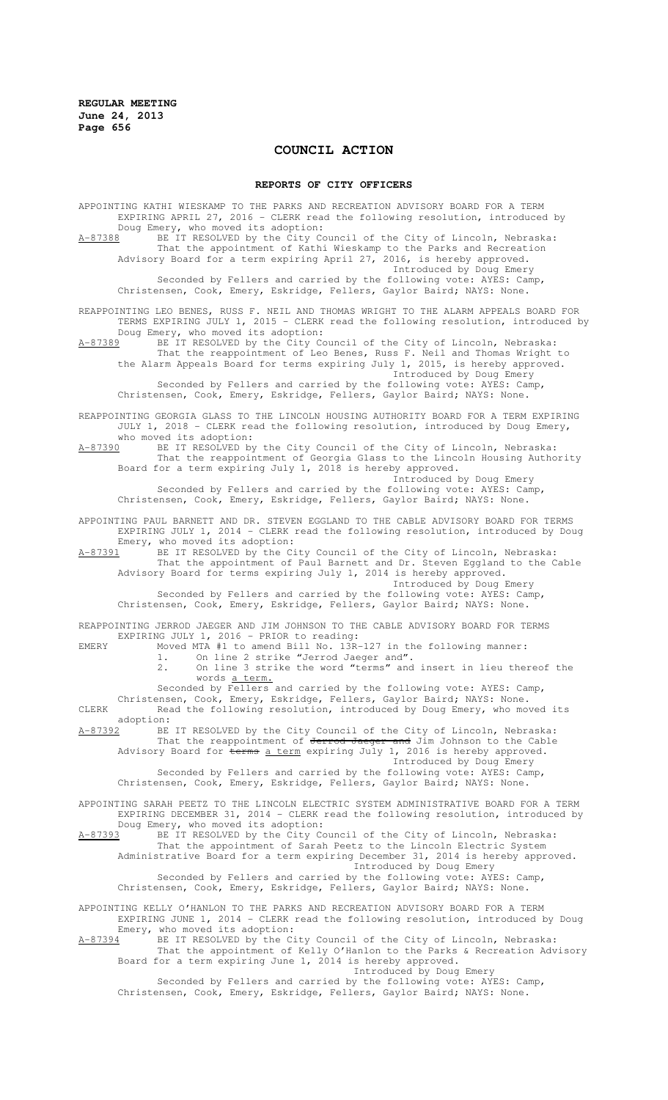# **COUNCIL ACTION**

#### **REPORTS OF CITY OFFICERS**

APPOINTING KATHI WIESKAMP TO THE PARKS AND RECREATION ADVISORY BOARD FOR A TERM EXPIRING APRIL 27, 2016 - CLERK read the following resolution, introduced by Doug Emery, who moved its adoption: A-87388 BE IT RESOLVED by the City Council of the City of Lincoln, Nebraska: That the appointment of Kathi Wieskamp to the Parks and Recreation Advisory Board for a term expiring April 27, 2016, is hereby approved. Introduced by Doug Emery Seconded by Fellers and carried by the following vote: AYES: Camp, Christensen, Cook, Emery, Eskridge, Fellers, Gaylor Baird; NAYS: None. REAPPOINTING LEO BENES, RUSS F. NEIL AND THOMAS WRIGHT TO THE ALARM APPEALS BOARD FOR TERMS EXPIRING JULY 1, 2015 - CLERK read the following resolution, introduced by Doug Emery, who moved its adoption: A-87389 BE IT RESOLVED by the City Council of the City of Lincoln, Nebraska: That the reappointment of Leo Benes, Russ F. Neil and Thomas Wright to the Alarm Appeals Board for terms expiring July 1, 2015, is hereby approved. Introduced by Doug Emery Seconded by Fellers and carried by the following vote:  $AYES: Camp,$ Christensen, Cook, Emery, Eskridge, Fellers, Gaylor Baird; NAYS: None. REAPPOINTING GEORGIA GLASS TO THE LINCOLN HOUSING AUTHORITY BOARD FOR A TERM EXPIRING JULY 1, 2018 - CLERK read the following resolution, introduced by Doug Emery, who moved its adoption:<br> $A-87390$  BE IT RESOLVED by A-87390 BE IT RESOLVED by the City Council of the City of Lincoln, Nebraska: That the reappointment of Georgia Glass to the Lincoln Housing Authority Board for a term expiring July 1, 2018 is hereby approved. Introduced by Doug Emery Seconded by Fellers and carried by the following vote: AYES: Camp, Christensen, Cook, Emery, Eskridge, Fellers, Gaylor Baird; NAYS: None. APPOINTING PAUL BARNETT AND DR. STEVEN EGGLAND TO THE CABLE ADVISORY BOARD FOR TERMS EXPIRING JULY 1, 2014 - CLERK read the following resolution, introduced by Doug Emery, who moved its adoption:<br>A-87391 BE IT RESOLVED by the C BE IT RESOLVED by the City Council of the City of Lincoln, Nebraska: That the appointment of Paul Barnett and Dr. Steven Eggland to the Cable Advisory Board for terms expiring July 1, 2014 is hereby approved. Introduced by Doug Emery Seconded by Fellers and carried by the following vote: AYES: Camp, Christensen, Cook, Emery, Eskridge, Fellers, Gaylor Baird; NAYS: None. REAPPOINTING JERROD JAEGER AND JIM JOHNSON TO THE CABLE ADVISORY BOARD FOR TERMS EXPIRING JULY 1, 2016 - PRIOR to reading: EMERY Moved MTA #1 to amend Bill No. 13R-127 in the following manner: 1. On line 2 strike "Jerrod Jaeger and". 2. On line 3 strike the word "terms" and insert in lieu thereof the words a term. Seconded by Fellers and carried by the following vote: AYES: Camp, Christensen, Cook, Emery, Eskridge, Fellers, Gaylor Baird; NAYS: None. CLERK Read the following resolution, introduced by Doug Emery, who moved its adoption:<br>A-87392 BE A-87392 BE IT RESOLVED by the City Council of the City of Lincoln, Nebraska: That the reappointment of Jerrod Jaeger and Jim Johnson to the Cable Advisory Board for terms a term expiring July 1, 2016 is hereby approved. Introduced by Doug Emery Seconded by Fellers and carried by the following vote: AYES: Camp, Christensen, Cook, Emery, Eskridge, Fellers, Gaylor Baird; NAYS: None. APPOINTING SARAH PEETZ TO THE LINCOLN ELECTRIC SYSTEM ADMINISTRATIVE BOARD FOR A TERM EXPIRING DECEMBER 31, 2014 - CLERK read the following resolution, introduced by Doug Emery, who moved its adoption:<br>A-87393 BE IT RESOLVED by the City Co BE IT RESOLVED by the City Council of the City of Lincoln, Nebraska: That the appointment of Sarah Peetz to the Lincoln Electric System Administrative Board for a term expiring December 31, 2014 is hereby approved. Introduced by Doug Emery Seconded by Fellers and carried by the following vote: AYES: Camp, Christensen, Cook, Emery, Eskridge, Fellers, Gaylor Baird; NAYS: None. APPOINTING KELLY O'HANLON TO THE PARKS AND RECREATION ADVISORY BOARD FOR A TERM EXPIRING JUNE 1, 2014 - CLERK read the following resolution, introduced by Doug Emery, who moved its adoption: A-87394 BE IT RESOLVED by the City Council of the City of Lincoln, Nebraska: That the appointment of Kelly O'Hanlon to the Parks & Recreation Advisory Board for a term expiring June 1, 2014 is hereby approved. Introduced by Doug Emery Seconded by Fellers and carried by the following vote: AYES: Camp, Christensen, Cook, Emery, Eskridge, Fellers, Gaylor Baird; NAYS: None.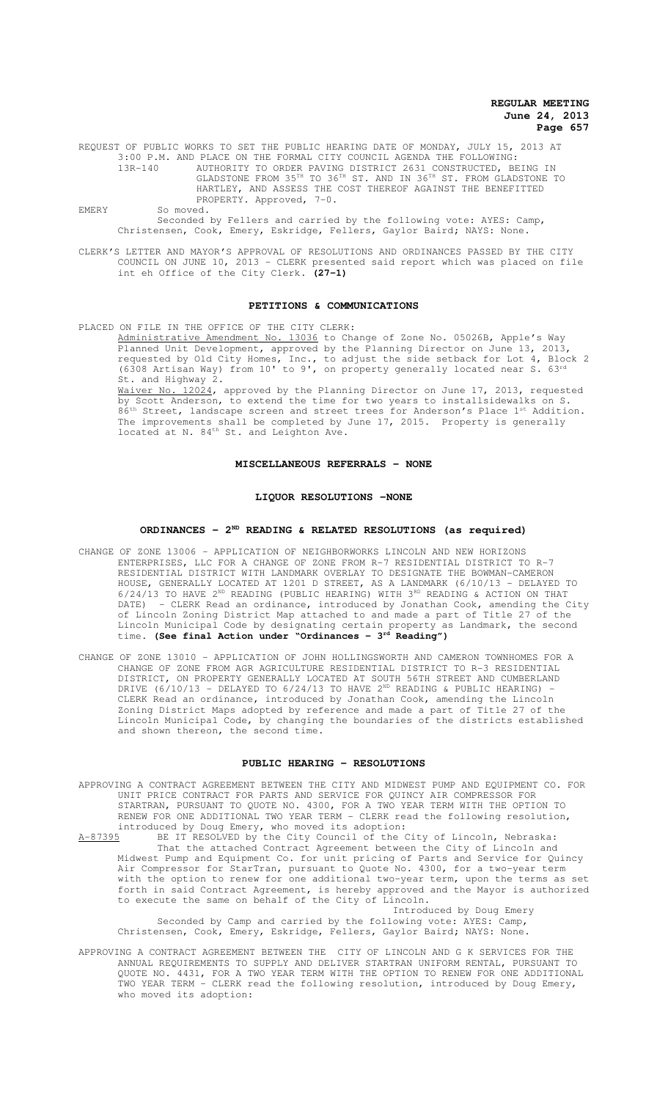REQUEST OF PUBLIC WORKS TO SET THE PUBLIC HEARING DATE OF MONDAY, JULY 15, 2013 AT 3:00 P.M. AND PLACE ON THE FORMAL CITY COUNCIL AGENDA THE FOLLOWING: 13R-140 AUTHORITY TO ORDER PAVING DISTRICT 2631 CONSTRUCTED, BEING IN GLADSTONE FROM 35TH TO 36TH ST. AND IN 36TH ST. FROM GLADSTONE TO HARTLEY, AND ASSESS THE COST THEREOF AGAINST THE BENEFITTED PROPERTY. Approved, 7-0. EMERY So moved.

Seconded by Fellers and carried by the following vote: AYES: Camp, Christensen, Cook, Emery, Eskridge, Fellers, Gaylor Baird; NAYS: None.

CLERK'S LETTER AND MAYOR'S APPROVAL OF RESOLUTIONS AND ORDINANCES PASSED BY THE CITY COUNCIL ON JUNE 10, 2013 - CLERK presented said report which was placed on file int eh Office of the City Clerk. **(27-1)**

#### **PETITIONS & COMMUNICATIONS**

PLACED ON FILE IN THE OFFICE OF THE CITY CLERK: Administrative Amendment No. 13036 to Change of Zone No. 05026B, Apple's Way Planned Unit Development, approved by the Planning Director on June 13, 2013, requested by Old City Homes, Inc., to adjust the side setback for Lot 4, Block 2 (6308 Artisan Way) from  $10'$  to  $9'$ , on property generally located near S.  $63^{rd}$ St. and Highway 2. Waiver No. 12024, approved by the Planning Director on June 17, 2013, requested by Scott Anderson, to extend the time for two years to installsidewalks on S.

86<sup>th</sup> Street, landscape screen and street trees for Anderson's Place 1<sup>st</sup> Addition. The improvements shall be completed by June 17, 2015. Property is generally located at N. 84<sup>th</sup> St. and Leighton Ave.

## **MISCELLANEOUS REFERRALS - NONE**

#### **LIQUOR RESOLUTIONS -NONE**

### **ORDINANCES - 2ND READING & RELATED RESOLUTIONS (as required)**

- CHANGE OF ZONE 13006 APPLICATION OF NEIGHBORWORKS LINCOLN AND NEW HORIZONS ENTERPRISES, LLC FOR A CHANGE OF ZONE FROM R-7 RESIDENTIAL DISTRICT TO R-7 RESIDENTIAL DISTRICT WITH LANDMARK OVERLAY TO DESIGNATE THE BOWMAN-CAMERON HOUSE, GENERALLY LOCATED AT 1201 D STREET, AS A LANDMARK (6/10/13 - DELAYED TO  $6/24/13$  TO HAVE 2<sup>ND</sup> READING (PUBLIC HEARING) WITH  $3^{RD}$  READING & ACTION ON THAT DATE) - CLERK Read an ordinance, introduced by Jonathan Cook, amending the City of Lincoln Zoning District Map attached to and made a part of Title 27 of the Lincoln Municipal Code by designating certain property as Landmark, the second time. **(See final Action under "Ordinances - 3rd Reading")**
- CHANGE OF ZONE 13010 APPLICATION OF JOHN HOLLINGSWORTH AND CAMERON TOWNHOMES FOR A CHANGE OF ZONE FROM AGR AGRICULTURE RESIDENTIAL DISTRICT TO R-3 RESIDENTIAL DISTRICT, ON PROPERTY GENERALLY LOCATED AT SOUTH 56TH STREET AND CUMBERLAND DRIVE  $(6/10/13$  - DELAYED TO  $6/24/13$  TO HAVE 2<sup>ND</sup> READING & PUBLIC HEARING) CLERK Read an ordinance, introduced by Jonathan Cook, amending the Lincoln Zoning District Maps adopted by reference and made a part of Title 27 of the Lincoln Municipal Code, by changing the boundaries of the districts established and shown thereon, the second time.

#### **PUBLIC HEARING - RESOLUTIONS**

- APPROVING A CONTRACT AGREEMENT BETWEEN THE CITY AND MIDWEST PUMP AND EQUIPMENT CO. FOR UNIT PRICE CONTRACT FOR PARTS AND SERVICE FOR QUINCY AIR COMPRESSOR FOR STARTRAN, PURSUANT TO QUOTE NO. 4300, FOR A TWO YEAR TERM WITH THE OPTION TO RENEW FOR ONE ADDITIONAL TWO YEAR TERM - CLERK read the following resolution, introduced by Doug Emery, who moved its adoption:<br>A-87395 BE IT RESOLVED by the City Council of the O
- A-87395 BE IT RESOLVED by the City Council of the City of Lincoln, Nebraska: That the attached Contract Agreement between the City of Lincoln and Midwest Pump and Equipment Co. for unit pricing of Parts and Service for Quincy Air Compressor for StarTran, pursuant to Quote No. 4300, for a two-year term with the option to renew for one additional two-year term, upon the terms as set forth in said Contract Agreement, is hereby approved and the Mayor is authorized to execute the same on behalf of the City of Lincoln.

Introduced by Doug Emery Seconded by Camp and carried by the following vote: AYES: Camp, Christensen, Cook, Emery, Eskridge, Fellers, Gaylor Baird; NAYS: None.

APPROVING A CONTRACT AGREEMENT BETWEEN THE CITY OF LINCOLN AND G K SERVICES FOR THE ANNUAL REQUIREMENTS TO SUPPLY AND DELIVER STARTRAN UNIFORM RENTAL, PURSUANT TO QUOTE NO. 4431, FOR A TWO YEAR TERM WITH THE OPTION TO RENEW FOR ONE ADDITIONAL TWO YEAR TERM - CLERK read the following resolution, introduced by Doug Emery, who moved its adoption: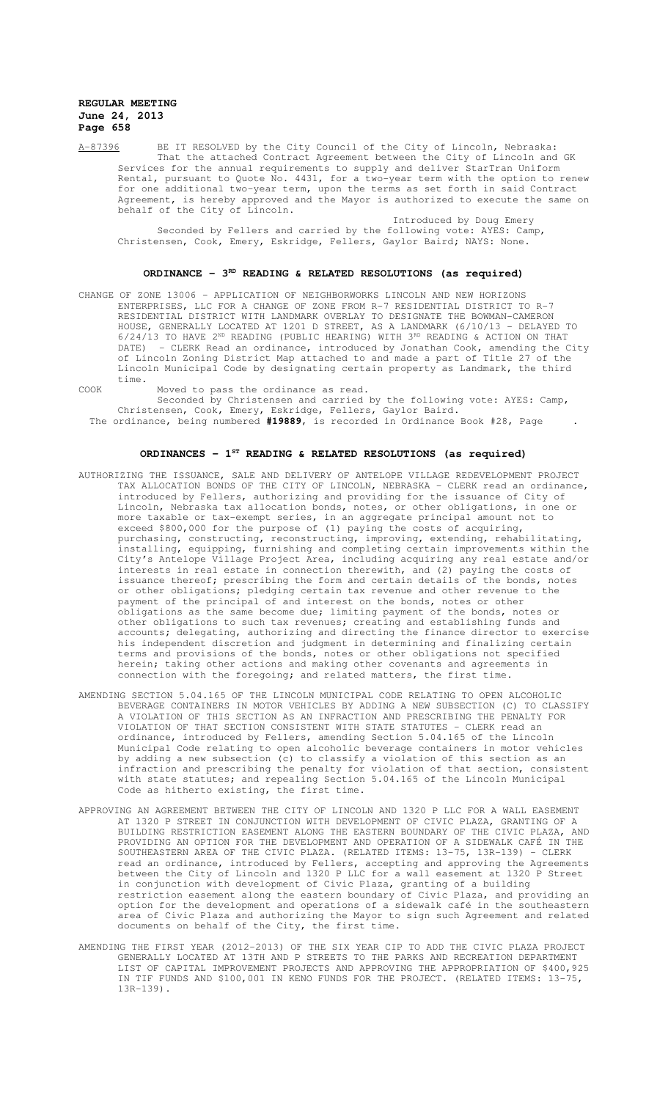A-87396 BE IT RESOLVED by the City Council of the City of Lincoln, Nebraska: That the attached Contract Agreement between the City of Lincoln and GK Services for the annual requirements to supply and deliver StarTran Uniform Rental, pursuant to Quote No. 4431, for a two-year term with the option to renew for one additional two-year term, upon the terms as set forth in said Contract Agreement, is hereby approved and the Mayor is authorized to execute the same on behalf of the City of Lincoln.

Introduced by Doug Emery Seconded by Fellers and carried by the following vote: AYES: Camp, Christensen, Cook, Emery, Eskridge, Fellers, Gaylor Baird; NAYS: None.

# **ORDINANCE - 3<sup>RD</sup> READING & RELATED RESOLUTIONS (as required)**

CHANGE OF ZONE 13006 – APPLICATION OF NEIGHBORWORKS LINCOLN AND NEW HORIZONS ENTERPRISES, LLC FOR A CHANGE OF ZONE FROM R-7 RESIDENTIAL DISTRICT TO R-7 RESIDENTIAL DISTRICT WITH LANDMARK OVERLAY TO DESIGNATE THE BOWMAN-CAMERON HOUSE, GENERALLY LOCATED AT 1201 D STREET, AS A LANDMARK (6/10/13 - DELAYED TO  $6/24/13$  TO HAVE 2<sup>ND</sup> READING (PUBLIC HEARING) WITH  $3^{RD}$  READING & ACTION ON THAT DATE) - CLERK Read an ordinance, introduced by Jonathan Cook, amending the City of Lincoln Zoning District Map attached to and made a part of Title 27 of the Lincoln Municipal Code by designating certain property as Landmark, the third time.

COOK Moved to pass the ordinance as read.

Seconded by Christensen and carried by the following vote: AYES: Camp, Christensen, Cook, Emery, Eskridge, Fellers, Gaylor Baird.

The ordinance, being numbered **#19889**, is recorded in Ordinance Book #28, Page .

# **ORDINANCES - 1ST READING & RELATED RESOLUTIONS (as required)**

- AUTHORIZING THE ISSUANCE, SALE AND DELIVERY OF ANTELOPE VILLAGE REDEVELOPMENT PROJECT TAX ALLOCATION BONDS OF THE CITY OF LINCOLN, NEBRASKA - CLERK read an ordinance, introduced by Fellers, authorizing and providing for the issuance of City of Lincoln, Nebraska tax allocation bonds, notes, or other obligations, in one or more taxable or tax-exempt series, in an aggregate principal amount not to exceed \$800,000 for the purpose of (1) paying the costs of acquiring, purchasing, constructing, reconstructing, improving, extending, rehabilitating,<br>installing, equipping, furnishing and completing certain improvements within th equipping, furnishing and completing certain improvements within the City's Antelope Village Project Area, including acquiring any real estate and/or interests in real estate in connection therewith, and (2) paying the costs of issuance thereof; prescribing the form and certain details of the bonds, notes or other obligations; pledging certain tax revenue and other revenue to the payment of the principal of and interest on the bonds, notes or other obligations as the same become due; limiting payment of the bonds, notes or other obligations to such tax revenues; creating and establishing funds and accounts; delegating, authorizing and directing the finance director to exercise his independent discretion and judgment in determining and finalizing certain terms and provisions of the bonds, notes or other obligations not specified herein; taking other actions and making other covenants and agreements in connection with the foregoing; and related matters, the first time.
- AMENDING SECTION 5.04.165 OF THE LINCOLN MUNICIPAL CODE RELATING TO OPEN ALCOHOLIC BEVERAGE CONTAINERS IN MOTOR VEHICLES BY ADDING A NEW SUBSECTION (C) TO CLASSIFY A VIOLATION OF THIS SECTION AS AN INFRACTION AND PRESCRIBING THE PENALTY FOR VIOLATION OF THAT SECTION CONSISTENT WITH STATE STATUTES - CLERK read an ordinance, introduced by Fellers, amending Section 5.04.165 of the Lincoln Municipal Code relating to open alcoholic beverage containers in motor vehicles by adding a new subsection (c) to classify a violation of this section as an infraction and prescribing the penalty for violation of that section, consistent with state statutes; and repealing Section 5.04.165 of the Lincoln Municipal Code as hitherto existing, the first time.
- APPROVING AN AGREEMENT BETWEEN THE CITY OF LINCOLN AND 1320 P LLC FOR A WALL EASEMENT AT 1320 P STREET IN CONJUNCTION WITH DEVELOPMENT OF CIVIC PLAZA, GRANTING OF A BUILDING RESTRICTION EASEMENT ALONG THE EASTERN BOUNDARY OF THE CIVIC PLAZA, AND<br>PROVIDING AN OPTION FOR THE DEVELOPMENT AND OPERATION OF A SIDEWALK CAFÉ IN THE PROVIDING AN OPTION FOR THE DEVELOPMENT AND OPERATION OF A SIDEWALK CAFÉ IN SOUTHEASTERN AREA OF THE CIVIC PLAZA. (RELATED ITEMS: 13-75, 13R-139) - CLERK read an ordinance, introduced by Fellers, accepting and approving the Agreements between the City of Lincoln and 1320 P LLC for a wall easement at 1320 P Street in conjunction with development of Civic Plaza, granting of a building restriction easement along the eastern boundary of Civic Plaza, and providing an option for the development and operations of a sidewalk café in the southeastern area of Civic Plaza and authorizing the Mayor to sign such Agreement and related documents on behalf of the City, the first time.
- AMENDING THE FIRST YEAR (2012-2013) OF THE SIX YEAR CIP TO ADD THE CIVIC PLAZA PROJECT GENERALLY LOCATED AT 13TH AND P STREETS TO THE PARKS AND RECREATION DEPARTMENT LIST OF CAPITAL IMPROVEMENT PROJECTS AND APPROVING THE APPROPRIATION OF \$400,925 IN TIF FUNDS AND \$100,001 IN KENO FUNDS FOR THE PROJECT. (RELATED ITEMS: 13-75, 13R-139).